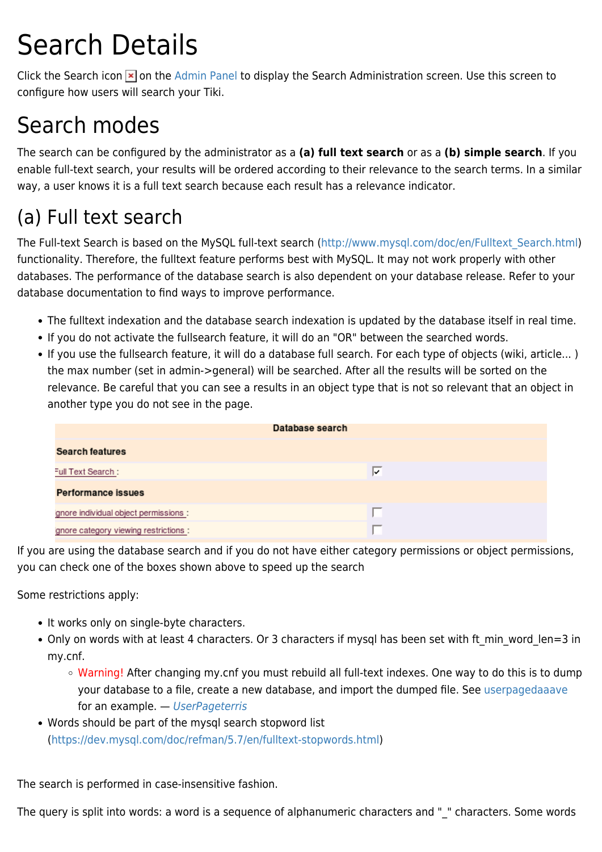# Search Details

Click the Search icon  $\geq$  on the [Admin Panel](https://doc.tiki.org/Admin-Panels) to display the Search Administration screen. Use this screen to configure how users will search your Tiki.

## Search modes

The search can be configured by the administrator as a **(a) full text search** or as a **(b) simple search**. If you enable full-text search, your results will be ordered according to their relevance to the search terms. In a similar way, a user knows it is a full text search because each result has a relevance indicator.

### (a) Full text search

The Full-text Search is based on the MySQL full-text search ([http://www.mysql.com/doc/en/Fulltext\\_Search.html\)](http://www.mysql.com/doc/en/Fulltext_Search.html) functionality. Therefore, the fulltext feature performs best with MySQL. It may not work properly with other databases. The performance of the database search is also dependent on your database release. Refer to your database documentation to find ways to improve performance.

- The fulltext indexation and the database search indexation is updated by the database itself in real time.
- If you do not activate the fullsearch feature, it will do an "OR" between the searched words.
- If you use the fullsearch feature, it will do a database full search. For each type of objects (wiki, article... ) the max number (set in admin->general) will be searched. After all the results will be sorted on the relevance. Be careful that you can see a results in an object type that is not so relevant that an object in another type you do not see in the page.

| Database search                       |   |
|---------------------------------------|---|
| <b>Search features</b>                |   |
| Full Text Search :                    | ⊮ |
| <b>Performance issues</b>             |   |
| gnore individual object permissions : |   |
| gnore category viewing restrictions:  |   |

If you are using the database search and if you do not have either category permissions or object permissions, you can check one of the boxes shown above to speed up the search

Some restrictions apply:

- It works only on single-byte characters.
- Only on words with at least 4 characters. Or 3 characters if mysql has been set with ft\_min\_word\_len=3 in my.cnf.
	- Warning! After changing my.cnf you must rebuild all full-text indexes. One way to do this is to dump your database to a file, create a new database, and import the dumped file. See [userpagedaaave](http://tiki.org/userpagedaaave) for an example. — [UserPageterris](http://tiki.org/UserPageterris)
- Words should be part of the mysql search stopword list (<https://dev.mysql.com/doc/refman/5.7/en/fulltext-stopwords.html>)

The search is performed in case-insensitive fashion.

The query is split into words: a word is a sequence of alphanumeric characters and "\_" characters. Some words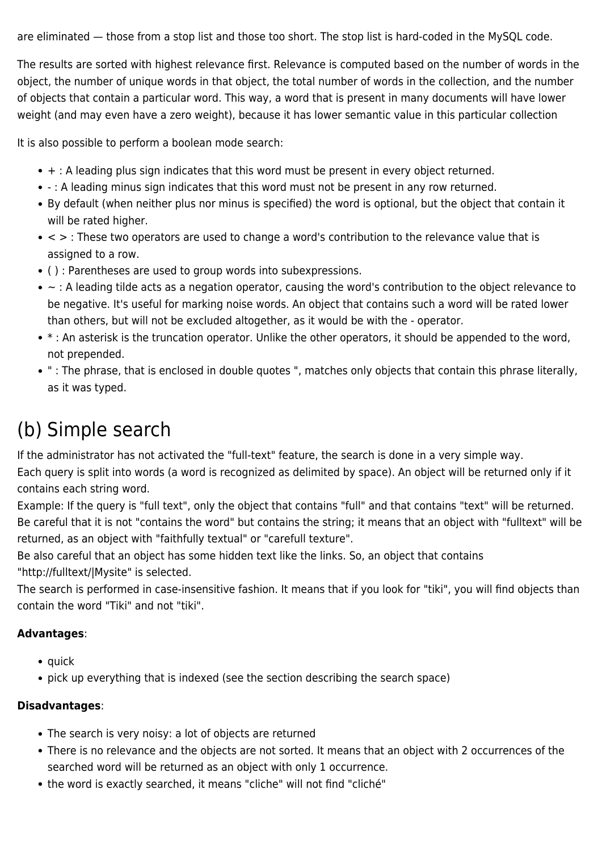are eliminated — those from a stop list and those too short. The stop list is hard-coded in the MySQL code.

The results are sorted with highest relevance first. Relevance is computed based on the number of words in the object, the number of unique words in that object, the total number of words in the collection, and the number of objects that contain a particular word. This way, a word that is present in many documents will have lower weight (and may even have a zero weight), because it has lower semantic value in this particular collection

It is also possible to perform a boolean mode search:

- $\bullet$  + : A leading plus sign indicates that this word must be present in every object returned.
- : A leading minus sign indicates that this word must not be present in any row returned.
- By default (when neither plus nor minus is specified) the word is optional, but the object that contain it will be rated higher.
- $\bullet$  < > : These two operators are used to change a word's contribution to the relevance value that is assigned to a row.
- ( ) : Parentheses are used to group words into subexpressions.
- $\bullet \sim$ : A leading tilde acts as a negation operator, causing the word's contribution to the object relevance to be negative. It's useful for marking noise words. An object that contains such a word will be rated lower than others, but will not be excluded altogether, as it would be with the - operator.
- \* : An asterisk is the truncation operator. Unlike the other operators, it should be appended to the word, not prepended.
- " : The phrase, that is enclosed in double quotes ", matches only objects that contain this phrase literally, as it was typed.

### (b) Simple search

If the administrator has not activated the "full-text" feature, the search is done in a very simple way.

Each query is split into words (a word is recognized as delimited by space). An object will be returned only if it contains each string word.

Example: If the query is "full text", only the object that contains "full" and that contains "text" will be returned. Be careful that it is not "contains the word" but contains the string; it means that an object with "fulltext" will be returned, as an object with "faithfully textual" or "carefull texture".

Be also careful that an object has some hidden text like the links. So, an object that contains "http://fulltext/|Mysite" is selected.

The search is performed in case-insensitive fashion. It means that if you look for "tiki", you will find objects than contain the word "Tiki" and not "tiki".

#### **Advantages**:

- $\bullet$  quick
- pick up everything that is indexed (see the section describing the search space)

#### **Disadvantages**:

- The search is very noisy: a lot of objects are returned
- There is no relevance and the objects are not sorted. It means that an object with 2 occurrences of the searched word will be returned as an object with only 1 occurrence.
- the word is exactly searched, it means "cliche" will not find "cliché"